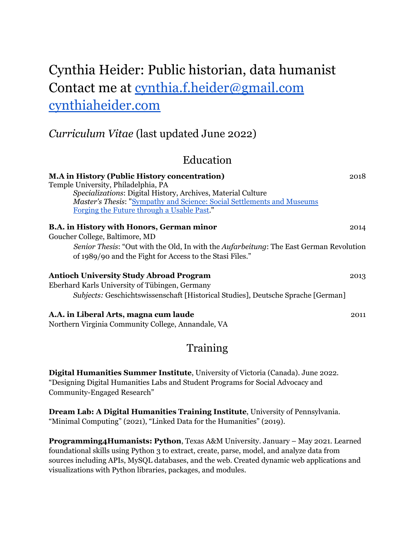# Cynthia Heider: Public historian, data humanist Contact me at [cynthia.f.heider@gmail.com](mailto:cynthia.f.heider@gmail.com) [cynthiaheider.com](https://cynthiaheider.com/)

## *Curriculum Vitae* (last updated June 2022)

### Education

| <b>M.A in History (Public History concentration)</b><br>Temple University, Philadelphia, PA<br>Specializations: Digital History, Archives, Material Culture<br>Master's Thesis: "Sympathy and Science: Social Settlements and Museums<br>Forging the Future through a Usable Past." | 2018 |
|-------------------------------------------------------------------------------------------------------------------------------------------------------------------------------------------------------------------------------------------------------------------------------------|------|
| <b>B.A.</b> in History with Honors, German minor                                                                                                                                                                                                                                    | 2014 |
| Goucher College, Baltimore, MD                                                                                                                                                                                                                                                      |      |
| Senior Thesis: "Out with the Old, In with the Aufarbeitung: The East German Revolution                                                                                                                                                                                              |      |
| of 1989/90 and the Fight for Access to the Stasi Files."                                                                                                                                                                                                                            |      |
| <b>Antioch University Study Abroad Program</b>                                                                                                                                                                                                                                      | 2013 |
| Eberhard Karls University of Tübingen, Germany                                                                                                                                                                                                                                      |      |
| Subjects: Geschichtswissenschaft [Historical Studies], Deutsche Sprache [German]                                                                                                                                                                                                    |      |
| A.A. in Liberal Arts, magna cum laude<br>Northern Virginia Community College, Annandale, VA                                                                                                                                                                                         | 2011 |

## Training

**Digital Humanities Summer Institute**, University of Victoria (Canada). June 2022. "Designing Digital Humanities Labs and Student Programs for Social Advocacy and Community-Engaged Research"

**Dream Lab: A Digital Humanities Training Institute**, University of Pennsylvania. "Minimal Computing" (2021), "Linked Data for the Humanities" (2019).

**Programming4Humanists: Python**, Texas A&M University. January – May 2021. Learned foundational skills using Python 3 to extract, create, parse, model, and analyze data from sources including APIs, MySQL databases, and the web. Created dynamic web applications and visualizations with Python libraries, packages, and modules.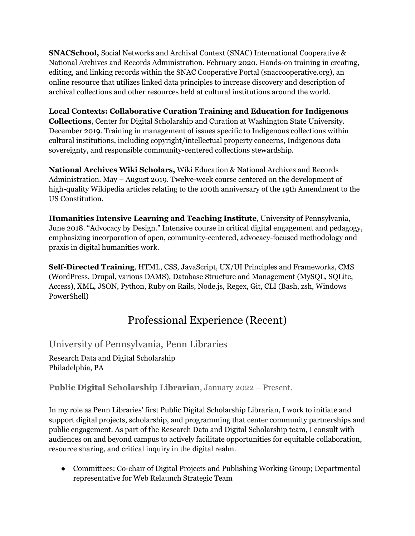**SNACSchool,** Social Networks and Archival Context (SNAC) International Cooperative & National Archives and Records Administration. February 2020. Hands-on training in creating, editing, and linking records within the SNAC Cooperative Portal (snaccooperative.org), an online resource that utilizes linked data principles to increase discovery and description of archival collections and other resources held at cultural institutions around the world.

#### **Local Contexts: Collaborative Curation Training and Education for Indigenous Collections**, Center for Digital Scholarship and Curation at Washington State University. December 2019. Training in management of issues specific to Indigenous collections within cultural institutions, including copyright/intellectual property concerns, Indigenous data sovereignty, and responsible community-centered collections stewardship.

**National Archives Wiki Scholars,** Wiki Education & National Archives and Records Administration. May – August 2019. Twelve-week course centered on the development of high-quality Wikipedia articles relating to the 100th anniversary of the 19th Amendment to the US Constitution.

**Humanities Intensive Learning and Teaching Institute**, University of Pennsylvania, June 2018. "Advocacy by Design." Intensive course in critical digital engagement and pedagogy, emphasizing incorporation of open, community-centered, advocacy-focused methodology and praxis in digital humanities work.

**Self-Directed Training**, HTML, CSS, JavaScript, UX/UI Principles and Frameworks, CMS (WordPress, Drupal, various DAMS), Database Structure and Management (MySQL, SQLite, Access), XML, JSON, Python, Ruby on Rails, Node.js, Regex, Git, CLI (Bash, zsh, Windows PowerShell)

## Professional Experience (Recent)

#### University of Pennsylvania, Penn Libraries

Research Data and Digital Scholarship Philadelphia, PA

**Public Digital Scholarship Librarian**, January 2022 – Present.

In my role as Penn Libraries' first Public Digital Scholarship Librarian, I work to initiate and support digital projects, scholarship, and programming that center community partnerships and public engagement. As part of the Research Data and Digital Scholarship team, I consult with audiences on and beyond campus to actively facilitate opportunities for equitable collaboration, resource sharing, and critical inquiry in the digital realm.

● Committees: Co-chair of Digital Projects and Publishing Working Group; Departmental representative for Web Relaunch Strategic Team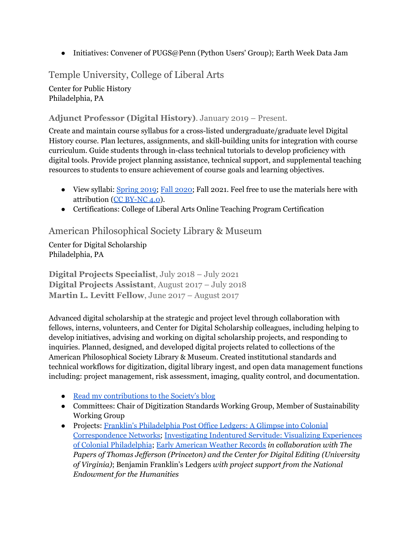• Initiatives: Convener of PUGS@Penn (Python Users' Group); Earth Week Data Jam

#### Temple University, College of Liberal Arts

Center for Public History Philadelphia, PA

#### **Adjunct Professor (Digital History)**. January 2019 – Present.

Create and maintain course syllabus for a cross-listed undergraduate/graduate level Digital History course. Plan lectures, assignments, and skill-building units for integration with course curriculum. Guide students through in-class technical tutorials to develop proficiency with digital tools. Provide project planning assistance, technical support, and supplemental teaching resources to students to ensure achievement of course goals and learning objectives.

- View syllabi: [Spring](https://docs.google.com/document/u/1/d/e/2PACX-1vR9-u_WBU3_jrzz-nNuI79xBbWVJJrnArQQlMThESIo7mihb2ccvcFdtQagz2kVUfTtc-oPFHMiwxU9/pub) 2019; Fall [2020;](https://docs.google.com/document/d/e/2PACX-1vROO3sbRUqe8G5ussH2yG7QgzJMPvHxTLiCwwax_wqykHQFPZDEAFQVuUXPLSuM9x79R37ALPhhPYZp/pub) Fall 2021. Feel free to use the materials here with attribution (CC [BY-NC](https://creativecommons.org/licenses/by-nc/4.0/) 4.0).
- Certifications: College of Liberal Arts Online Teaching Program Certification

#### American Philosophical Society Library & Museum

Center for Digital Scholarship Philadelphia, PA

**Digital Projects Specialist**, July 2018 – July 2021 **Digital Projects Assistant**, August 2017 – July 2018 **Martin L. Levitt Fellow**, June 2017 – August 2017

Advanced digital scholarship at the strategic and project level through collaboration with fellows, interns, volunteers, and Center for Digital Scholarship colleagues, including helping to develop initiatives, advising and working on digital scholarship projects, and responding to inquiries. Planned, designed, and developed digital projects related to collections of the American Philosophical Society Library & Museum. Created institutional standards and technical workflows for digitization, digital library ingest, and open data management functions including: project management, risk assessment, imaging, quality control, and documentation.

- Read my [contributions](https://www.amphilsoc.org/user/1206) to the Society's blog
- Committees: Chair of Digitization Standards Working Group, Member of Sustainability Working Group
- Projects: Franklin's [Philadelphia](https://diglib.amphilsoc.org/franklindata) Post Office Ledgers: A Glimpse into Colonial [Correspondence](https://diglib.amphilsoc.org/franklindata) Networks; [Investigating](https://diglib.amphilsoc.org/indenturedata) Indentured Servitude: Visualizing Experiences of Colonial [Philadelphia](https://diglib.amphilsoc.org/indenturedata); Early [American](https://github.com/AmericanPhilosophicalSociety/Historic-Weather-Data) Weather Records *in collaboration with The Papers of Thomas Jef erson (Princeton) and the Center for Digital Editing (University of Virginia)*; Benjamin Franklin's Ledgers *with project support from the National Endowment for the Humanities*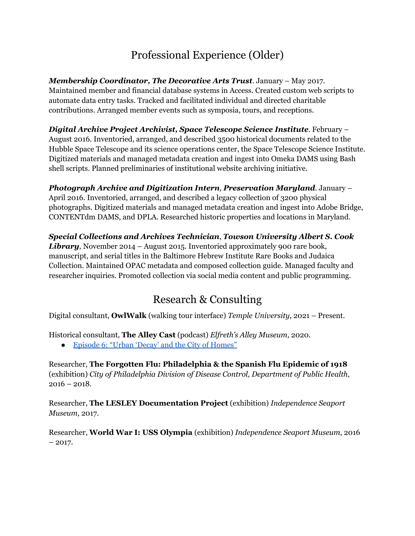## Professional Experience (Older)

*Membership Coordinator, The Decorative Arts Trust*. January – May 2017. Maintained member and financial database systems in Access. Created custom web scripts to automate data entry tasks. Tracked and facilitated individual and directed charitable contributions. Arranged member events such as symposia, tours, and receptions.

*Digital Archive Project Archivist, Space Telescope Science Institute*. February – August 2016. Inventoried, arranged, and described 3500 historical documents related to the Hubble Space Telescope and its science operations center, the Space Telescope Science Institute. Digitized materials and managed metadata creation and ingest into Omeka DAMS using Bash shell scripts. Planned preliminaries of institutional website archiving initiative.

*Photograph Archive and Digitization Intern, Preservation Maryland.* January – April 2016. Inventoried, arranged, and described a legacy collection of 3200 physical photographs. Digitized materials and managed metadata creation and ingest into Adobe Bridge, CONTENTdm DAMS, and DPLA. Researched historic properties and locations in Maryland.

*Special Collections and Archives Technician*, *Towson University Albert S. Cook Library,* November 2014 – August 2015. Inventoried approximately 900 rare book, manuscript, and serial titles in the Baltimore Hebrew Institute Rare Books and Judaica Collection. Maintained OPAC metadata and composed collection guide. Managed faculty and researcher inquiries. Promoted collection via social media content and public programming.

## Research & Consulting

Digital consultant, **OwlWalk** (walking tour interface) *Temple University*, 2021 – Present.

Historical consultant, **The Alley Cast** (podcast) *Elfreth's Alley Museum*, 2020.

• Episode 6: "Urban 'Decay' and the City of [Homes"](http://www.elfrethsalley.org/podcast/2020/8/5/episode-6-urban-decay-and-the-city-of-homes)

Researcher, **The Forgotten Flu: Philadelphia & the Spanish Flu Epidemic of 1918** (exhibition) *City of Philadelphia Division of Disease Control, Department of Public Health*,  $2016 - 2018$ .

Researcher, **The LESLEY Documentation Project** (exhibition) *Independence Seaport Museum*, 2017.

Researcher, **World War I: USS Olympia** (exhibition) *Independence Seaport Museum*, 2016  $-2017.$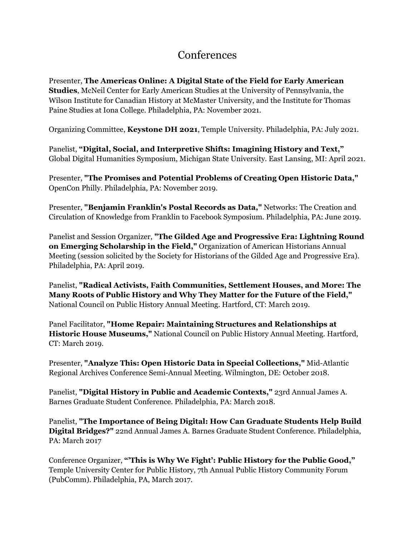### **Conferences**

Presenter, **The Americas Online: A Digital State of the Field for Early American Studies**, McNeil Center for Early American Studies at the University of Pennsylvania, the Wilson Institute for Canadian History at McMaster University, and the Institute for Thomas Paine Studies at Iona College. Philadelphia, PA: November 2021.

Organizing Committee, **Keystone DH 2021**, Temple University. Philadelphia, PA: July 2021.

Panelist, **"Digital, Social, and Interpretive Shifts: Imagining History and Text,"** Global Digital Humanities Symposium, Michigan State University. East Lansing, MI: April 2021.

Presenter, **"The Promises and Potential Problems of Creating Open Historic Data,"** OpenCon Philly. Philadelphia, PA: November 2019.

Presenter, **"Benjamin Franklin's Postal Records as Data,"** Networks: The Creation and Circulation of Knowledge from Franklin to Facebook Symposium. Philadelphia, PA: June 2019.

Panelist and Session Organizer, **"The Gilded Age and Progressive Era: Lightning Round on Emerging Scholarship in the Field,"** Organization of American Historians Annual Meeting (session solicited by the Society for Historians of the Gilded Age and Progressive Era). Philadelphia, PA: April 2019.

Panelist, **"Radical Activists, Faith Communities, Settlement Houses, and More: The Many Roots of Public History and Why They Matter for the Future of the Field,"** National Council on Public History Annual Meeting. Hartford, CT: March 2019.

Panel Facilitator, **"Home Repair: Maintaining Structures and Relationships at Historic House Museums,"** National Council on Public History Annual Meeting. Hartford, CT: March 2019.

Presenter, **"Analyze This: Open Historic Data in Special Collections,"** Mid-Atlantic Regional Archives Conference Semi-Annual Meeting. Wilmington, DE: October 2018.

Panelist, **"Digital History in Public and Academic Contexts,"** 23rd Annual James A. Barnes Graduate Student Conference. Philadelphia, PA: March 2018.

Panelist, **"The Importance of Being Digital: How Can Graduate Students Help Build Digital Bridges?"** 22nd Annual James A. Barnes Graduate Student Conference. Philadelphia, PA: March 2017

Conference Organizer, **"'This is Why We Fight': Public History for the Public Good,"** Temple University Center for Public History, 7th Annual Public History Community Forum (PubComm). Philadelphia, PA, March 2017.